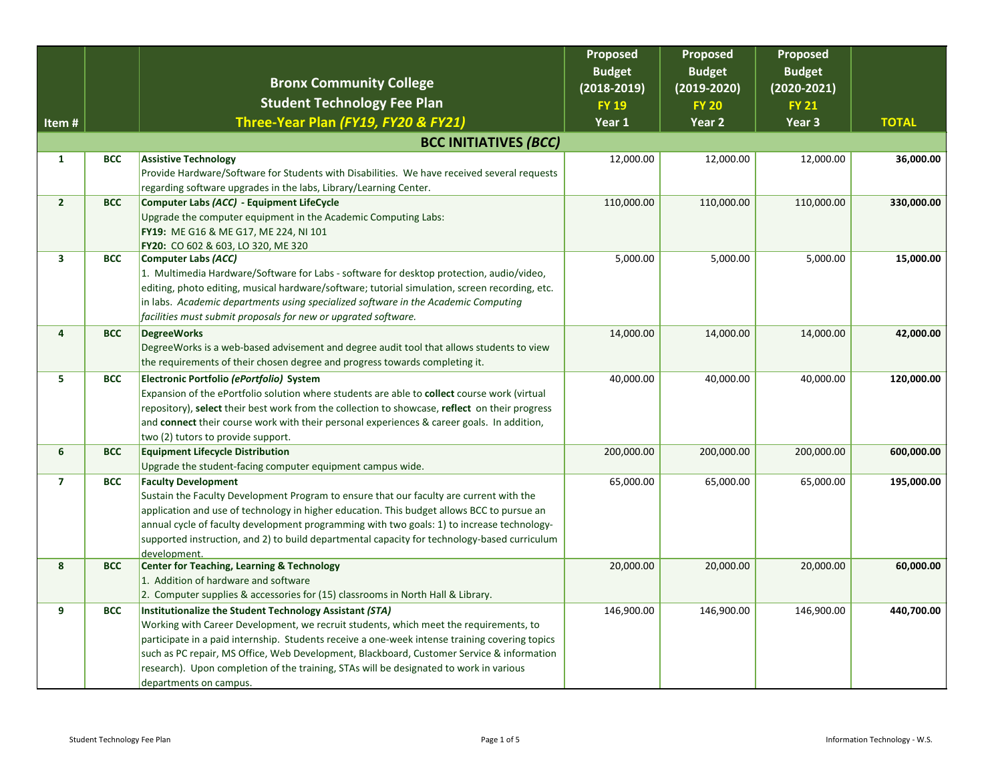|                              |            | <b>Bronx Community College</b>                                                                                                                                                               | Proposed<br><b>Budget</b><br>$(2018 - 2019)$ | Proposed<br><b>Budget</b><br>$(2019 - 2020)$ | <b>Proposed</b><br><b>Budget</b><br>$(2020 - 2021)$ |              |
|------------------------------|------------|----------------------------------------------------------------------------------------------------------------------------------------------------------------------------------------------|----------------------------------------------|----------------------------------------------|-----------------------------------------------------|--------------|
|                              |            | <b>Student Technology Fee Plan</b>                                                                                                                                                           | <b>FY 19</b>                                 | <b>FY 20</b>                                 | <b>FY 21</b>                                        |              |
| Item#                        |            | Three-Year Plan (FY19, FY20 & FY21)                                                                                                                                                          | Year 1                                       | Year 2                                       | Year 3                                              | <b>TOTAL</b> |
| <b>BCC INITIATIVES (BCC)</b> |            |                                                                                                                                                                                              |                                              |                                              |                                                     |              |
| $\mathbf{1}$                 | <b>BCC</b> | <b>Assistive Technology</b>                                                                                                                                                                  | 12,000.00                                    | 12,000.00                                    | 12,000.00                                           | 36,000.00    |
|                              |            | Provide Hardware/Software for Students with Disabilities. We have received several requests                                                                                                  |                                              |                                              |                                                     |              |
|                              |            | regarding software upgrades in the labs, Library/Learning Center.                                                                                                                            |                                              |                                              |                                                     |              |
| 2 <sup>1</sup>               | <b>BCC</b> | Computer Labs (ACC) - Equipment LifeCycle                                                                                                                                                    | 110,000.00                                   | 110,000.00                                   | 110,000.00                                          | 330,000.00   |
|                              |            | Upgrade the computer equipment in the Academic Computing Labs:                                                                                                                               |                                              |                                              |                                                     |              |
|                              |            | FY19: ME G16 & ME G17, ME 224, NI 101<br>FY20: CO 602 & 603, LO 320, ME 320                                                                                                                  |                                              |                                              |                                                     |              |
| 3                            | <b>BCC</b> | <b>Computer Labs (ACC)</b>                                                                                                                                                                   | 5,000.00                                     | 5,000.00                                     | 5,000.00                                            | 15,000.00    |
|                              |            | 1. Multimedia Hardware/Software for Labs - software for desktop protection, audio/video,                                                                                                     |                                              |                                              |                                                     |              |
|                              |            | editing, photo editing, musical hardware/software; tutorial simulation, screen recording, etc.                                                                                               |                                              |                                              |                                                     |              |
|                              |            | in labs. Academic departments using specialized software in the Academic Computing                                                                                                           |                                              |                                              |                                                     |              |
|                              |            | facilities must submit proposals for new or upgrated software.                                                                                                                               |                                              |                                              |                                                     |              |
| 4                            | <b>BCC</b> | <b>DegreeWorks</b>                                                                                                                                                                           | 14,000.00                                    | 14,000.00                                    | 14,000.00                                           | 42,000.00    |
|                              |            | DegreeWorks is a web-based advisement and degree audit tool that allows students to view                                                                                                     |                                              |                                              |                                                     |              |
|                              |            | the requirements of their chosen degree and progress towards completing it.                                                                                                                  |                                              |                                              |                                                     |              |
| 5                            | <b>BCC</b> | Electronic Portfolio (ePortfolio) System                                                                                                                                                     | 40,000.00                                    | 40,000.00                                    | 40,000.00                                           | 120,000.00   |
|                              |            | Expansion of the ePortfolio solution where students are able to collect course work (virtual                                                                                                 |                                              |                                              |                                                     |              |
|                              |            | repository), select their best work from the collection to showcase, reflect on their progress<br>and connect their course work with their personal experiences & career goals. In addition, |                                              |                                              |                                                     |              |
|                              |            | two (2) tutors to provide support.                                                                                                                                                           |                                              |                                              |                                                     |              |
| 6                            | <b>BCC</b> | <b>Equipment Lifecycle Distribution</b>                                                                                                                                                      | 200,000.00                                   | 200,000.00                                   | 200,000.00                                          | 600,000.00   |
|                              |            | Upgrade the student-facing computer equipment campus wide.                                                                                                                                   |                                              |                                              |                                                     |              |
| $\overline{ }$               | <b>BCC</b> | <b>Faculty Development</b>                                                                                                                                                                   | 65,000.00                                    | 65,000.00                                    | 65,000.00                                           | 195,000.00   |
|                              |            | Sustain the Faculty Development Program to ensure that our faculty are current with the                                                                                                      |                                              |                                              |                                                     |              |
|                              |            | application and use of technology in higher education. This budget allows BCC to pursue an                                                                                                   |                                              |                                              |                                                     |              |
|                              |            | annual cycle of faculty development programming with two goals: 1) to increase technology-                                                                                                   |                                              |                                              |                                                     |              |
|                              |            | supported instruction, and 2) to build departmental capacity for technology-based curriculum                                                                                                 |                                              |                                              |                                                     |              |
| 8                            | <b>BCC</b> | development.<br><b>Center for Teaching, Learning &amp; Technology</b>                                                                                                                        | 20,000.00                                    | 20,000.00                                    | 20,000.00                                           | 60,000.00    |
|                              |            | 1. Addition of hardware and software                                                                                                                                                         |                                              |                                              |                                                     |              |
|                              |            | 2. Computer supplies & accessories for (15) classrooms in North Hall & Library.                                                                                                              |                                              |                                              |                                                     |              |
| 9                            | <b>BCC</b> | Institutionalize the Student Technology Assistant (STA)                                                                                                                                      | 146,900.00                                   | 146,900.00                                   | 146,900.00                                          | 440,700.00   |
|                              |            | Working with Career Development, we recruit students, which meet the requirements, to                                                                                                        |                                              |                                              |                                                     |              |
|                              |            | participate in a paid internship. Students receive a one-week intense training covering topics                                                                                               |                                              |                                              |                                                     |              |
|                              |            | such as PC repair, MS Office, Web Development, Blackboard, Customer Service & information                                                                                                    |                                              |                                              |                                                     |              |
|                              |            | research). Upon completion of the training, STAs will be designated to work in various                                                                                                       |                                              |                                              |                                                     |              |
|                              |            | departments on campus.                                                                                                                                                                       |                                              |                                              |                                                     |              |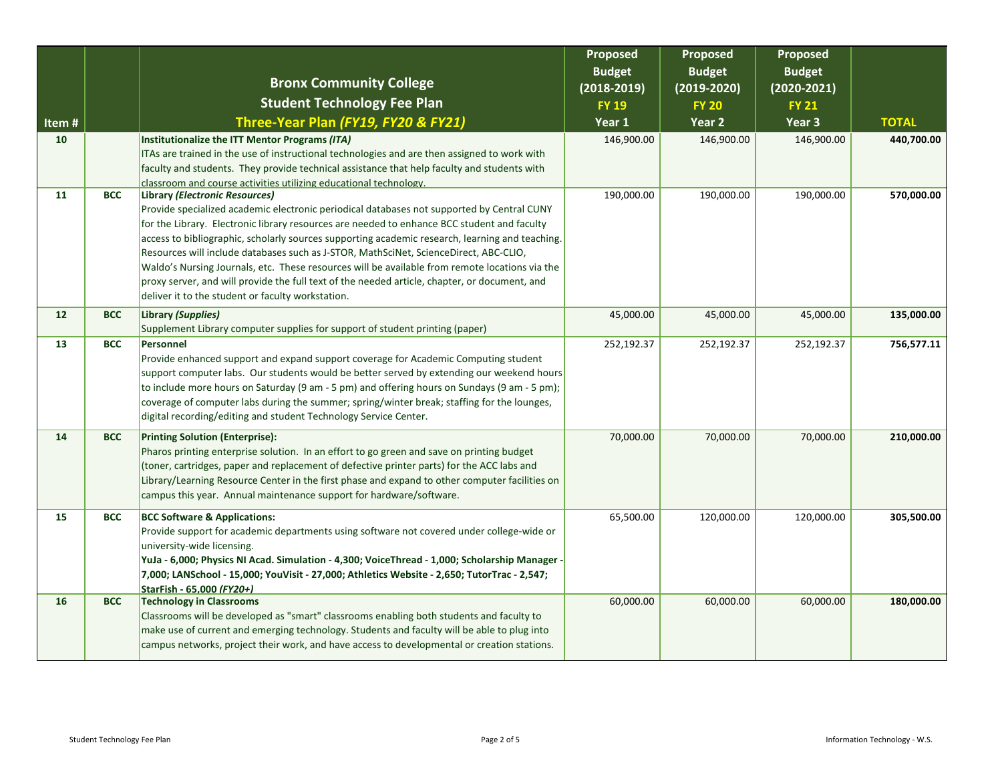|       |            | <b>Bronx Community College</b>                                                                                                                                                                                                                                                                                                                                                                                                                                                                                                                                                                                                                                                  | Proposed<br><b>Budget</b><br>$(2018 - 2019)$ | Proposed<br><b>Budget</b><br>$(2019 - 2020)$ | <b>Proposed</b><br><b>Budget</b><br>$(2020 - 2021)$ |              |
|-------|------------|---------------------------------------------------------------------------------------------------------------------------------------------------------------------------------------------------------------------------------------------------------------------------------------------------------------------------------------------------------------------------------------------------------------------------------------------------------------------------------------------------------------------------------------------------------------------------------------------------------------------------------------------------------------------------------|----------------------------------------------|----------------------------------------------|-----------------------------------------------------|--------------|
|       |            | <b>Student Technology Fee Plan</b>                                                                                                                                                                                                                                                                                                                                                                                                                                                                                                                                                                                                                                              | <b>FY 19</b>                                 | <b>FY 20</b>                                 | <b>FY 21</b>                                        |              |
| Item# |            | Three-Year Plan (FY19, FY20 & FY21)                                                                                                                                                                                                                                                                                                                                                                                                                                                                                                                                                                                                                                             | Year 1                                       | Year 2                                       | Year 3                                              | <b>TOTAL</b> |
| 10    |            | Institutionalize the ITT Mentor Programs (ITA)<br>ITAs are trained in the use of instructional technologies and are then assigned to work with<br>faculty and students. They provide technical assistance that help faculty and students with<br>classroom and course activities utilizing educational technology.                                                                                                                                                                                                                                                                                                                                                              | 146,900.00                                   | 146,900.00                                   | 146,900.00                                          | 440,700.00   |
| 11    | <b>BCC</b> | Library (Electronic Resources)<br>Provide specialized academic electronic periodical databases not supported by Central CUNY<br>for the Library. Electronic library resources are needed to enhance BCC student and faculty<br>access to bibliographic, scholarly sources supporting academic research, learning and teaching.<br>Resources will include databases such as J-STOR, MathSciNet, ScienceDirect, ABC-CLIO,<br>Waldo's Nursing Journals, etc. These resources will be available from remote locations via the<br>proxy server, and will provide the full text of the needed article, chapter, or document, and<br>deliver it to the student or faculty workstation. | 190,000.00                                   | 190,000.00                                   | 190,000.00                                          | 570,000.00   |
| 12    | <b>BCC</b> | Library (Supplies)<br>Supplement Library computer supplies for support of student printing (paper)                                                                                                                                                                                                                                                                                                                                                                                                                                                                                                                                                                              | 45,000.00                                    | 45,000.00                                    | 45,000.00                                           | 135,000.00   |
| 13    | <b>BCC</b> | Personnel<br>Provide enhanced support and expand support coverage for Academic Computing student<br>support computer labs. Our students would be better served by extending our weekend hours<br>to include more hours on Saturday (9 am - 5 pm) and offering hours on Sundays (9 am - 5 pm);<br>coverage of computer labs during the summer; spring/winter break; staffing for the lounges,<br>digital recording/editing and student Technology Service Center.                                                                                                                                                                                                                | 252,192.37                                   | 252,192.37                                   | 252,192.37                                          | 756,577.11   |
| 14    | <b>BCC</b> | <b>Printing Solution (Enterprise):</b><br>Pharos printing enterprise solution. In an effort to go green and save on printing budget<br>(toner, cartridges, paper and replacement of defective printer parts) for the ACC labs and<br>Library/Learning Resource Center in the first phase and expand to other computer facilities on<br>campus this year. Annual maintenance support for hardware/software.                                                                                                                                                                                                                                                                      | 70,000.00                                    | 70,000.00                                    | 70,000.00                                           | 210,000.00   |
| 15    | <b>BCC</b> | <b>BCC Software &amp; Applications:</b><br>Provide support for academic departments using software not covered under college-wide or<br>university-wide licensing.<br>YuJa - 6,000; Physics NI Acad. Simulation - 4,300; VoiceThread - 1,000; Scholarship Manager -<br>7,000; LANSchool - 15,000; YouVisit - 27,000; Athletics Website - 2,650; TutorTrac - 2,547;<br>StarFish - 65,000 (FY20+)                                                                                                                                                                                                                                                                                 | 65,500.00                                    | 120,000.00                                   | 120,000.00                                          | 305,500.00   |
| 16    | <b>BCC</b> | <b>Technology in Classrooms</b><br>Classrooms will be developed as "smart" classrooms enabling both students and faculty to<br>make use of current and emerging technology. Students and faculty will be able to plug into<br>campus networks, project their work, and have access to developmental or creation stations.                                                                                                                                                                                                                                                                                                                                                       | 60,000.00                                    | 60,000.00                                    | 60,000.00                                           | 180,000.00   |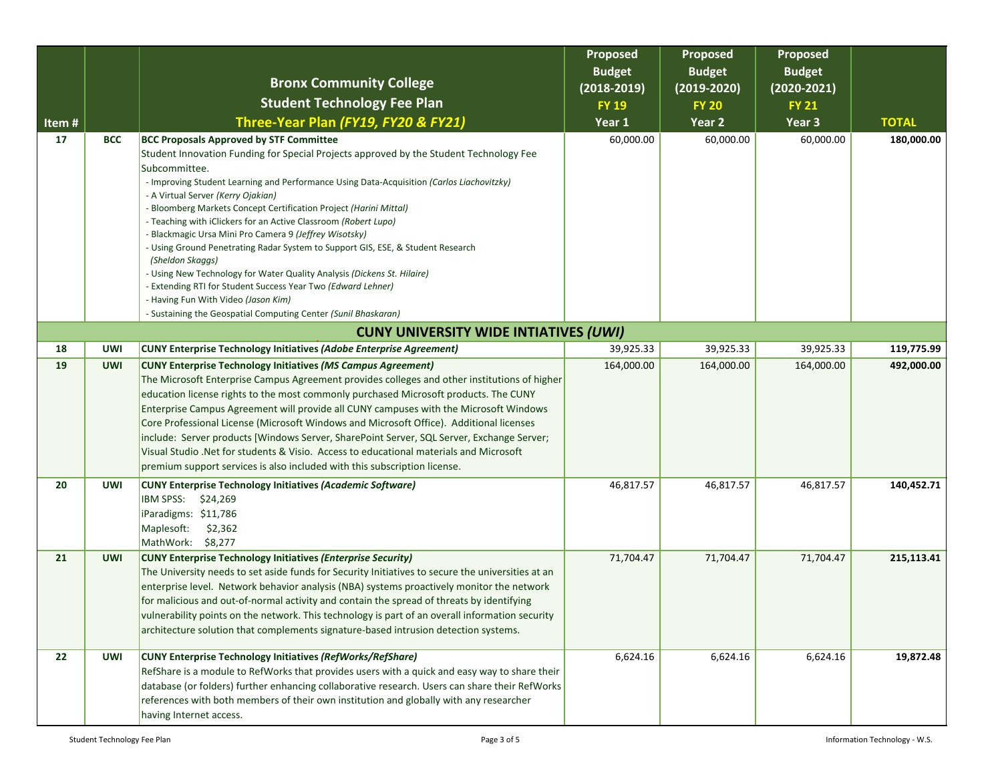|       |            | <b>Bronx Community College</b>                                                                                                                                                                                                                                                                                                                                                                                                                                                                                                                                                                                                                                                                                                                                                          | Proposed<br><b>Budget</b>       | Proposed<br><b>Budget</b>     | <b>Proposed</b><br><b>Budget</b> |              |
|-------|------------|-----------------------------------------------------------------------------------------------------------------------------------------------------------------------------------------------------------------------------------------------------------------------------------------------------------------------------------------------------------------------------------------------------------------------------------------------------------------------------------------------------------------------------------------------------------------------------------------------------------------------------------------------------------------------------------------------------------------------------------------------------------------------------------------|---------------------------------|-------------------------------|----------------------------------|--------------|
|       |            | <b>Student Technology Fee Plan</b>                                                                                                                                                                                                                                                                                                                                                                                                                                                                                                                                                                                                                                                                                                                                                      | $(2018 - 2019)$<br><b>FY 19</b> | $(2019-2020)$<br><b>FY 20</b> | $(2020 - 2021)$<br><b>FY 21</b>  |              |
| Item# |            | Three-Year Plan (FY19, FY20 & FY21)                                                                                                                                                                                                                                                                                                                                                                                                                                                                                                                                                                                                                                                                                                                                                     | Year 1                          | Year 2                        | Year 3                           | <b>TOTAL</b> |
| 17    | <b>BCC</b> | <b>BCC Proposals Approved by STF Committee</b><br>Student Innovation Funding for Special Projects approved by the Student Technology Fee<br>Subcommittee.<br>- Improving Student Learning and Performance Using Data-Acquisition (Carlos Liachovitzky)<br>- A Virtual Server (Kerry Ojakian)<br>- Bloomberg Markets Concept Certification Project (Harini Mittal)<br>- Teaching with iClickers for an Active Classroom (Robert Lupo)<br>- Blackmagic Ursa Mini Pro Camera 9 (Jeffrey Wisotsky)<br>- Using Ground Penetrating Radar System to Support GIS, ESE, & Student Research<br>(Sheldon Skaggs)<br>- Using New Technology for Water Quality Analysis (Dickens St. Hilaire)<br>- Extending RTI for Student Success Year Two (Edward Lehner)<br>- Having Fun With Video (Jason Kim) | 60,000.00                       | 60,000.00                     | 60,000.00                        | 180,000.00   |
|       |            | - Sustaining the Geospatial Computing Center (Sunil Bhaskaran)<br><b>CUNY UNIVERSITY WIDE INTIATIVES (UWI)</b>                                                                                                                                                                                                                                                                                                                                                                                                                                                                                                                                                                                                                                                                          |                                 |                               |                                  |              |
| 18    | <b>UWI</b> | <b>CUNY Enterprise Technology Initiatives (Adobe Enterprise Agreement)</b>                                                                                                                                                                                                                                                                                                                                                                                                                                                                                                                                                                                                                                                                                                              | 39,925.33                       | 39,925.33                     | 39,925.33                        | 119,775.99   |
| 19    | <b>UWI</b> | <b>CUNY Enterprise Technology Initiatives (MS Campus Agreement)</b><br>The Microsoft Enterprise Campus Agreement provides colleges and other institutions of higher<br>education license rights to the most commonly purchased Microsoft products. The CUNY<br>Enterprise Campus Agreement will provide all CUNY campuses with the Microsoft Windows<br>Core Professional License (Microsoft Windows and Microsoft Office). Additional licenses<br>include: Server products [Windows Server, SharePoint Server, SQL Server, Exchange Server;<br>Visual Studio .Net for students & Visio. Access to educational materials and Microsoft<br>premium support services is also included with this subscription license.                                                                     | 164,000.00                      | 164,000.00                    | 164,000.00                       | 492,000.00   |
| 20    | <b>UWI</b> | <b>CUNY Enterprise Technology Initiatives (Academic Software)</b><br>IBM SPSS: \$24,269<br>iParadigms: \$11,786<br>Maplesoft:<br>\$2,362<br>MathWork: \$8,277                                                                                                                                                                                                                                                                                                                                                                                                                                                                                                                                                                                                                           | 46,817.57                       | 46,817.57                     | 46,817.57                        | 140,452.71   |
| 21    | <b>UWI</b> | <b>CUNY Enterprise Technology Initiatives (Enterprise Security)</b><br>The University needs to set aside funds for Security Initiatives to secure the universities at an<br>enterprise level. Network behavior analysis (NBA) systems proactively monitor the network<br>for malicious and out-of-normal activity and contain the spread of threats by identifying<br>vulnerability points on the network. This technology is part of an overall information security<br>architecture solution that complements signature-based intrusion detection systems.                                                                                                                                                                                                                            | 71,704.47                       | 71,704.47                     | 71,704.47                        | 215,113.41   |
| 22    | <b>UWI</b> | <b>CUNY Enterprise Technology Initiatives (RefWorks/RefShare)</b><br>RefShare is a module to RefWorks that provides users with a quick and easy way to share their<br>database (or folders) further enhancing collaborative research. Users can share their RefWorks<br>references with both members of their own institution and globally with any researcher<br>having Internet access.                                                                                                                                                                                                                                                                                                                                                                                               | 6,624.16                        | 6,624.16                      | 6,624.16                         | 19,872.48    |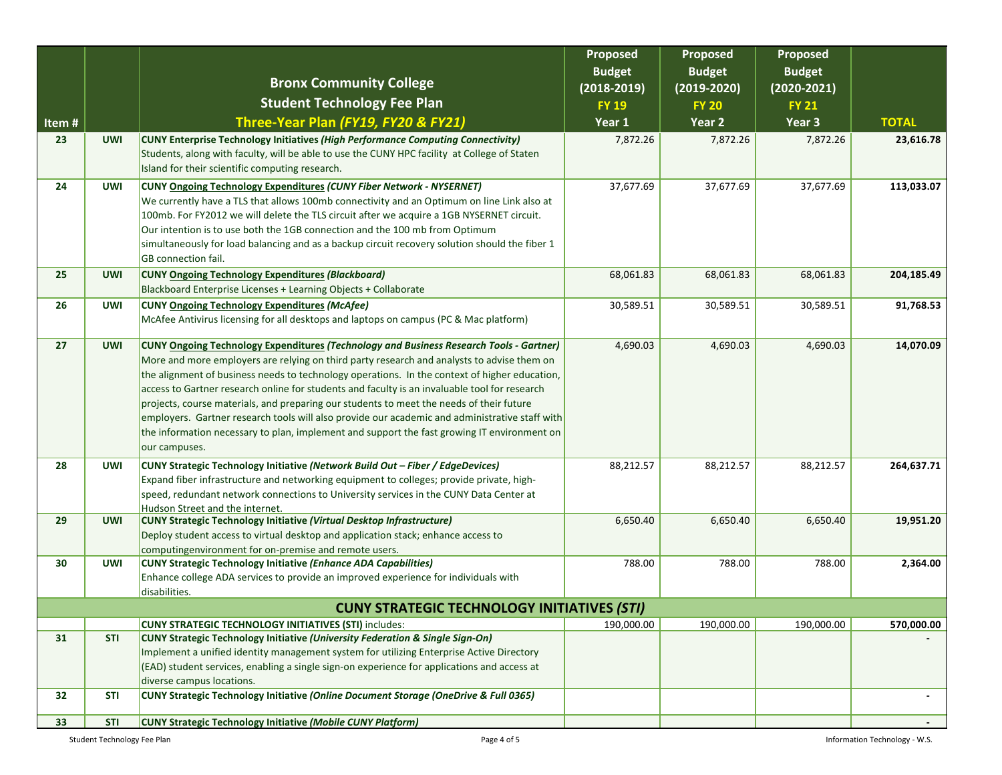|                 |                                                    |                                                                                                                                                                                                                                                                                                                                                                                                                                                                                                                                                                                                                                                                                                              | Proposed<br><b>Budget</b> | Proposed<br><b>Budget</b> | <b>Proposed</b><br><b>Budget</b> |              |  |
|-----------------|----------------------------------------------------|--------------------------------------------------------------------------------------------------------------------------------------------------------------------------------------------------------------------------------------------------------------------------------------------------------------------------------------------------------------------------------------------------------------------------------------------------------------------------------------------------------------------------------------------------------------------------------------------------------------------------------------------------------------------------------------------------------------|---------------------------|---------------------------|----------------------------------|--------------|--|
|                 |                                                    | <b>Bronx Community College</b>                                                                                                                                                                                                                                                                                                                                                                                                                                                                                                                                                                                                                                                                               | $(2018 - 2019)$           | $(2019-2020)$             | $(2020 - 2021)$                  |              |  |
|                 |                                                    | <b>Student Technology Fee Plan</b>                                                                                                                                                                                                                                                                                                                                                                                                                                                                                                                                                                                                                                                                           | <b>FY 19</b>              | <b>FY 20</b>              | <b>FY 21</b>                     |              |  |
| Item#           |                                                    | Three-Year Plan (FY19, FY20 & FY21)                                                                                                                                                                                                                                                                                                                                                                                                                                                                                                                                                                                                                                                                          | Year 1                    | Year 2                    | Year 3                           | <b>TOTAL</b> |  |
| 23              | <b>UWI</b>                                         | <b>CUNY Enterprise Technology Initiatives (High Performance Computing Connectivity)</b><br>Students, along with faculty, will be able to use the CUNY HPC facility at College of Staten<br>Island for their scientific computing research.                                                                                                                                                                                                                                                                                                                                                                                                                                                                   | 7,872.26                  | 7,872.26                  | 7,872.26                         | 23,616.78    |  |
| 24              | <b>UWI</b>                                         | <b>CUNY Ongoing Technology Expenditures (CUNY Fiber Network - NYSERNET)</b><br>We currently have a TLS that allows 100mb connectivity and an Optimum on line Link also at<br>100mb. For FY2012 we will delete the TLS circuit after we acquire a 1GB NYSERNET circuit.<br>Our intention is to use both the 1GB connection and the 100 mb from Optimum<br>simultaneously for load balancing and as a backup circuit recovery solution should the fiber 1<br>GB connection fail.                                                                                                                                                                                                                               | 37,677.69                 | 37,677.69                 | 37,677.69                        | 113,033.07   |  |
| 25              | <b>UWI</b>                                         | <b>CUNY Ongoing Technology Expenditures (Blackboard)</b><br>Blackboard Enterprise Licenses + Learning Objects + Collaborate                                                                                                                                                                                                                                                                                                                                                                                                                                                                                                                                                                                  | 68,061.83                 | 68,061.83                 | 68,061.83                        | 204,185.49   |  |
| 26              | <b>UWI</b>                                         | <b>CUNY Ongoing Technology Expenditures (McAfee)</b><br>McAfee Antivirus licensing for all desktops and laptops on campus (PC & Mac platform)                                                                                                                                                                                                                                                                                                                                                                                                                                                                                                                                                                | 30,589.51                 | 30,589.51                 | 30,589.51                        | 91,768.53    |  |
| 27              | <b>UWI</b>                                         | <b>CUNY Ongoing Technology Expenditures (Technology and Business Research Tools - Gartner)</b><br>More and more employers are relying on third party research and analysts to advise them on<br>the alignment of business needs to technology operations. In the context of higher education,<br>access to Gartner research online for students and faculty is an invaluable tool for research<br>projects, course materials, and preparing our students to meet the needs of their future<br>employers. Gartner research tools will also provide our academic and administrative staff with<br>the information necessary to plan, implement and support the fast growing IT environment on<br>our campuses. | 4,690.03                  | 4,690.03                  | 4,690.03                         | 14,070.09    |  |
| 28              | <b>UWI</b>                                         | CUNY Strategic Technology Initiative (Network Build Out - Fiber / EdgeDevices)<br>Expand fiber infrastructure and networking equipment to colleges; provide private, high-<br>speed, redundant network connections to University services in the CUNY Data Center at<br>Hudson Street and the internet.                                                                                                                                                                                                                                                                                                                                                                                                      | 88,212.57                 | 88,212.57                 | 88,212.57                        | 264,637.71   |  |
| 29              | <b>UWI</b>                                         | <b>CUNY Strategic Technology Initiative (Virtual Desktop Infrastructure)</b><br>Deploy student access to virtual desktop and application stack; enhance access to<br>computingenvironment for on-premise and remote users.                                                                                                                                                                                                                                                                                                                                                                                                                                                                                   | 6,650.40                  | 6,650.40                  | 6,650.40                         | 19,951.20    |  |
| 30              | <b>UWI</b>                                         | <b>CUNY Strategic Technology Initiative (Enhance ADA Capabilities)</b><br>Enhance college ADA services to provide an improved experience for individuals with<br>disabilities.                                                                                                                                                                                                                                                                                                                                                                                                                                                                                                                               | 788.00                    | 788.00                    | 788.00                           | 2,364.00     |  |
|                 | <b>CUNY STRATEGIC TECHNOLOGY INITIATIVES (STI)</b> |                                                                                                                                                                                                                                                                                                                                                                                                                                                                                                                                                                                                                                                                                                              |                           |                           |                                  |              |  |
|                 |                                                    | <b>CUNY STRATEGIC TECHNOLOGY INITIATIVES (STI) includes:</b>                                                                                                                                                                                                                                                                                                                                                                                                                                                                                                                                                                                                                                                 | 190,000.00                | 190,000.00                | 190,000.00                       | 570,000.00   |  |
| 31              | STI                                                | <b>CUNY Strategic Technology Initiative (University Federation &amp; Single Sign-On)</b>                                                                                                                                                                                                                                                                                                                                                                                                                                                                                                                                                                                                                     |                           |                           |                                  |              |  |
|                 |                                                    | Implement a unified identity management system for utilizing Enterprise Active Directory<br>(EAD) student services, enabling a single sign-on experience for applications and access at<br>diverse campus locations.                                                                                                                                                                                                                                                                                                                                                                                                                                                                                         |                           |                           |                                  |              |  |
| 32              | <b>STI</b>                                         | CUNY Strategic Technology Initiative (Online Document Storage (OneDrive & Full 0365)                                                                                                                                                                                                                                                                                                                                                                                                                                                                                                                                                                                                                         |                           |                           |                                  |              |  |
| 33 <sup>2</sup> | <b>STI</b>                                         | <b>CUNY Strategic Technology Initiative (Mobile CUNY Platform)</b>                                                                                                                                                                                                                                                                                                                                                                                                                                                                                                                                                                                                                                           |                           |                           |                                  | $\sim$       |  |